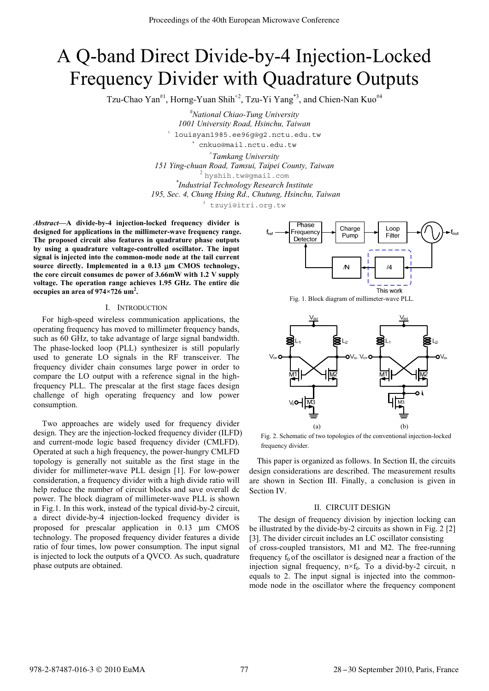# A Q-band Direct Divide-by-4 Injection-Locked Frequency Divider with Quadrature Outputs

Tzu-Chao Yan<sup>#1</sup>, Horng-Yuan Shih<sup>+2</sup>, Tzu-Yi Yang<sup>\*3</sup>, and Chien-Nan Kuo<sup>#4</sup>

*# National Chiao-Tung University 1001 University Road, Hsinchu, Taiwan* <sup>1</sup> louisyan1985.ee96g@g2.nctu.edu.tw

cnkuo@mail.nctu.edu.tw

+ *Tamkang University* 

*151 Ying-chuan Road, Tamsui, Taipei County, Taiwan* 

.<br>hyshih.tw@qmail.com

*\* Industrial Technology Research Institute*

*195, Sec. 4, Chung Hsing Rd., Chutung, Hsinchu, Taiwan* 

<sup>3</sup> tzuyi@itri.org.tw

*Abstract***—A divide-by-4 injection-locked frequency divider is designed for applications in the millimeter-wave frequency range. The proposed circuit also features in quadrature phase outputs by using a quadrature voltage-controlled oscillator. The input signal is injected into the common-mode node at the tail current source directly. Implemented in a 0.13** μ**m CMOS technology, the core circuit consumes dc power of 3.66mW with 1.2 V supply voltage. The operation range achieves 1.95 GHz. The entire die occupies an area of 974×726 um2 .** 

### I. INTRODUCTION

For high-speed wireless communication applications, the operating frequency has moved to millimeter frequency bands, such as 60 GHz, to take advantage of large signal bandwidth. The phase-locked loop (PLL) synthesizer is still popularly used to generate LO signals in the RF transceiver. The frequency divider chain consumes large power in order to compare the LO output with a reference signal in the highfrequency PLL. The prescalar at the first stage faces design challenge of high operating frequency and low power consumption.

Two approaches are widely used for frequency divider design. They are the injection-locked frequency divider (ILFD) and current-mode logic based frequency divider (CMLFD). Operated at such a high frequency, the power-hungry CMLFD topology is generally not suitable as the first stage in the divider for millimeter-wave PLL design [1]. For low-power consideration, a frequency divider with a high divide ratio will help reduce the number of circuit blocks and save overall dc power. The block diagram of millimeter-wave PLL is shown in Fig.1. In this work, instead of the typical divid-by-2 circuit, a direct divide-by-4 injection-locked frequency divider is proposed for prescalar application in 0.13 μm CMOS technology. The proposed frequency divider features a divide ratio of four times, low power consumption. The input signal is injected to lock the outputs of a QVCO. As such, quadrature phase outputs are obtained.







Fig. 2. Schematic of two topologies of the conventional injection-locked frequency divider.

This paper is organized as follows. In Section II, the circuits design considerations are described. The measurement results are shown in Section III. Finally, a conclusion is given in Section IV.

## II. CIRCUIT DESIGN

The design of frequency division by injection locking can be illustrated by the divide-by-2 circuits as shown in Fig. 2 [2] [3]. The divider circuit includes an LC oscillator consisting of cross-coupled transistors, M1 and M2. The free-running frequency  $f_0$  of the oscillator is designed near a fraction of the injection signal frequency,  $n \times f_0$ . To a divid-by-2 circuit, n equals to 2. The input signal is injected into the commonmode node in the oscillator where the frequency component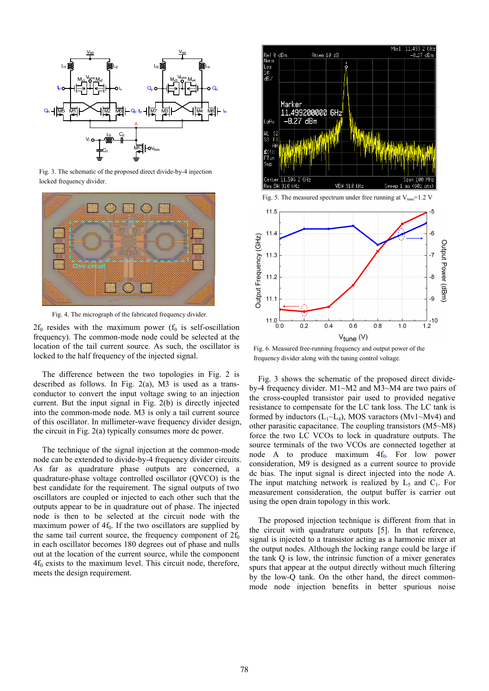

Fig. 3. The schematic of the proposed direct divide-by-4 injection locked frequency divider.



Fig. 4. The micrograph of the fabricated frequency divider.

 $2f_0$  resides with the maximum power ( $f_0$  is self-oscillation frequency). The common-mode node could be selected at the location of the tail current source. As such, the oscillator is locked to the half frequency of the injected signal.

The difference between the two topologies in Fig. 2 is described as follows. In Fig.  $2(a)$ , M3 is used as a transconductor to convert the input voltage swing to an injection current. But the input signal in Fig. 2(b) is directly injected into the common-mode node. M3 is only a tail current source of this oscillator. In millimeter-wave frequency divider design, the circuit in Fig. 2(a) typically consumes more dc power.

The technique of the signal injection at the common-mode node can be extended to divide-by-4 frequency divider circuits. As far as quadrature phase outputs are concerned, a quadrature-phase voltage controlled oscillator (QVCO) is the best candidate for the requirement. The signal outputs of two oscillators are coupled or injected to each other such that the outputs appear to be in quadrature out of phase. The injected node is then to be selected at the circuit node with the maximum power of  $4f<sub>0</sub>$ . If the two oscillators are supplied by the same tail current source, the frequency component of  $2f_0$ in each oscillator becomes 180 degrees out of phase and nulls out at the location of the current source, while the component  $4f_0$  exists to the maximum level. This circuit node, therefore, meets the design requirement.



Fig. 6. Measured free-running frequency and output power of the frequency divider along with the tuning control voltage.

Fig. 3 shows the schematic of the proposed direct divideby-4 frequency divider. M1~M2 and M3~M4 are two pairs of the cross-coupled transistor pair used to provided negative resistance to compensate for the LC tank loss. The LC tank is formed by inductors  $(L_1 \sim L_4)$ , MOS varactors (Mv1 $\sim$ Mv4) and other parasitic capacitance. The coupling transistors (M5~M8) force the two LC VCOs to lock in quadrature outputs. The source terminals of the two VCOs are connected together at node A to produce maximum  $4f_0$ . For low power consideration, M9 is designed as a current source to provide dc bias. The input signal is direct injected into the node A. The input matching network is realized by  $L_5$  and  $C_1$ . For measurement consideration, the output buffer is carrier out using the open drain topology in this work.

The proposed injection technique is different from that in the circuit with quadrature outputs [5]. In that reference, signal is injected to a transistor acting as a harmonic mixer at the output nodes. Although the locking range could be large if the tank Q is low, the intrinsic function of a mixer generates spurs that appear at the output directly without much filtering by the low-Q tank. On the other hand, the direct commonmode node injection benefits in better spurious noise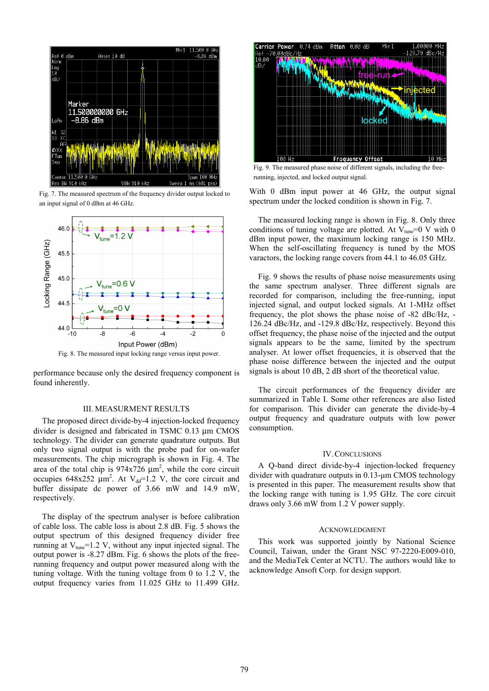

Fig. 7. The measured spectrum of the frequency divider output locked to an input signal of 0 dBm at 46 GHz.



Fig. 8. The measured input locking range versus input power.

performance because only the desired frequency component is found inherently.

### III. MEASURMENT RESULTS

The proposed direct divide-by-4 injection-locked frequency divider is designed and fabricated in TSMC 0.13 μm CMOS technology. The divider can generate quadrature outputs. But only two signal output is with the probe pad for on-wafer measurements. The chip micrograph is shown in Fig. 4. The area of the total chip is  $974x726 \mu m^2$ , while the core circuit occupies  $648x252 \mu m^2$ . At V<sub>dd</sub>=1.2 V, the core circuit and buffer dissipate dc power of 3.66 mW and 14.9 mW, respectively.

The display of the spectrum analyser is before calibration of cable loss. The cable loss is about 2.8 dB. Fig. 5 shows the output spectrum of this designed frequency divider free running at  $V_{\text{true}}$ =1.2 V, without any input injected signal. The output power is -8.27 dBm. Fig. 6 shows the plots of the freerunning frequency and output power measured along with the tuning voltage. With the tuning voltage from 0 to 1.2 V, the output frequency varies from 11.025 GHz to 11.499 GHz.



Fig. 9. The measured phase noise of different signals, including the freerunning, injected, and locked output signal.

With 0 dBm input power at 46 GHz, the output signal spectrum under the locked condition is shown in Fig. 7.

The measured locking range is shown in Fig. 8. Only three conditions of tuning voltage are plotted. At  $V_{\text{true}}=0$  V with 0 dBm input power, the maximum locking range is 150 MHz. When the self-oscillating frequency is tuned by the MOS varactors, the locking range covers from 44.1 to 46.05 GHz.

Fig. 9 shows the results of phase noise measurements using the same spectrum analyser. Three different signals are recorded for comparison, including the free-running, input injected signal, and output locked signals. At 1-MHz offset frequency, the plot shows the phase noise of -82 dBc/Hz, - 126.24 dBc/Hz, and -129.8 dBc/Hz, respectively. Beyond this offset frequency, the phase noise of the injected and the output signals appears to be the same, limited by the spectrum analyser. At lower offset frequencies, it is observed that the phase noise difference between the injected and the output signals is about 10 dB, 2 dB short of the theoretical value.

The circuit performances of the frequency divider are summarized in Table I. Some other references are also listed for comparison. This divider can generate the divide-by-4 output frequency and quadrature outputs with low power consumption.

## IV.CONCLUSIONS

A Q-band direct divide-by-4 injection-locked frequency divider with quadrature outputs in 0.13-μm CMOS technology is presented in this paper. The measurement results show that the locking range with tuning is 1.95 GHz. The core circuit draws only 3.66 mW from 1.2 V power supply.

#### ACKNOWLEDGMENT

This work was supported jointly by National Science Council, Taiwan, under the Grant NSC 97-2220-E009-010, and the MediaTek Center at NCTU. The authors would like to acknowledge Ansoft Corp. for design support.